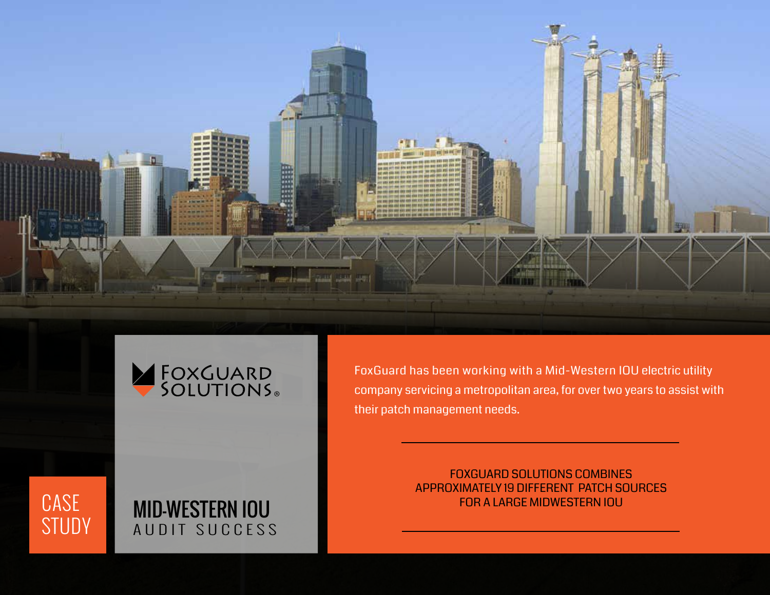



FoxGuard has been working with a Mid-Western IOU electric utility company servicing a metropolitan area, for over two years to assist with their patch management needs.

> FOXGUARD SOLUTIONS COMBINES APPROXIMATELY 19 DIFFERENT PATCH SOURCES FOR A LARGE MIDWESTERN IOU

# CASE STUDY

## MID-WESTERN IOU AUDIT SUCCESS